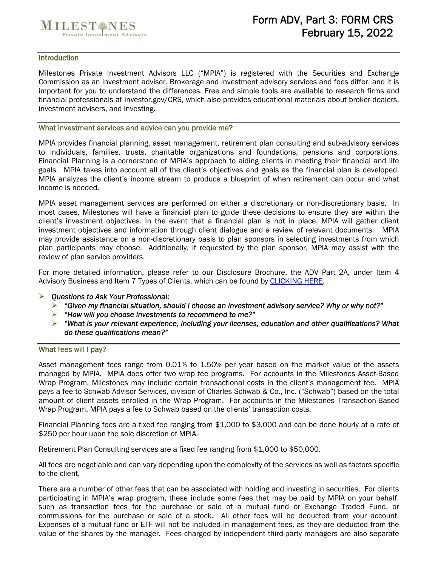

#### **Introduction**

Milestones Private Investment Advisors LLC ("MPIA") is registered with the Securities and Exchange Commission as an investment adviser. Brokerage and investment advisory services and fees differ, and it is important for you to understand the differences. Free and simple tools are available to research firms and financial professionals at Investor.gov/CRS, which also provides educational materials about broker-dealers, investment advisers, and investing.

#### What investment services and advice can you provide me?

MPIA provides financial planning, asset management, retirement plan consulting and sub-advisory services to individuals, families, trusts, charitable organizations and foundations, pensions and corporations. Financial Planning is a cornerstone of MPIA's approach to aiding clients in meeting their financial and life goals. MPIA takes into account all of the client's objectives and goals as the financial plan is developed. MPIA analyzes the client's income stream to produce a blueprint of when retirement can occur and what income is needed.

MPIA asset management services are performed on either a discretionary or non-discretionary basis. In most cases, Milestones will have a financial plan to guide these decisions to ensure they are within the client's investment objectives. In the event that a financial plan is not in place, MPIA will gather client investment objectives and information through client dialogue and a review of relevant documents. MPIA may provide assistance on a non-discretionary basis to plan sponsors in selecting investments from which plan participants may choose. Additionally, if requested by the plan sponsor, MPIA may assist with the review of plan service providers.

For more detailed information, please refer to our Disclosure Brochure, the ADV Part 2A, under Item 4 Advisory Business and Item 7 Types of Clients, which can be found by CLICKING HERE.

#### *Questions to Ask Your Professional:*

- *"Given my financial situation, should I choose an investment advisory service? Why or why not?"*
- *"How will you choose investments to recommend to me?"*
- *"What is your relevant experience, including your licenses, education and other qualifications? What do these qualifications mean?"*

#### What fees will I pay?

Asset management fees range from 0.01% to 1.50% per year based on the market value of the assets managed by MPIA. MPIA does offer two wrap fee programs. For accounts in the Milestones Asset-Based Wrap Program, Milestones may include certain transactional costs in the client's management fee. MPIA pays a fee to Schwab Advisor Services, division of Charles Schwab & Co., Inc. ("Schwab") based on the total amount of client assets enrolled in the Wrap Program. For accounts in the Milestones Transaction-Based Wrap Program, MPIA pays a fee to Schwab based on the clients' transaction costs.

Financial Planning fees are a fixed fee ranging from \$1,000 to \$3,000 and can be done hourly at a rate of \$250 per hour upon the sole discretion of MPIA.

Retirement Plan Consulting services are a fixed fee ranging from \$1,000 to \$50,000.

All fees are negotiable and can vary depending upon the complexity of the services as well as factors specific to the client.

There are a number of other fees that can be associated with holding and investing in securities. For clients participating in MPIA's wrap program, these include some fees that may be paid by MPIA on your behalf, such as transaction fees for the purchase or sale of a mutual fund or Exchange Traded Fund, or commissions for the purchase or sale of a stock. All other fees will be deducted from your account. Expenses of a mutual fund or ETF will not be included in management fees, as they are deducted from the value of the shares by the manager. Fees charged by independent third-party managers are also separate